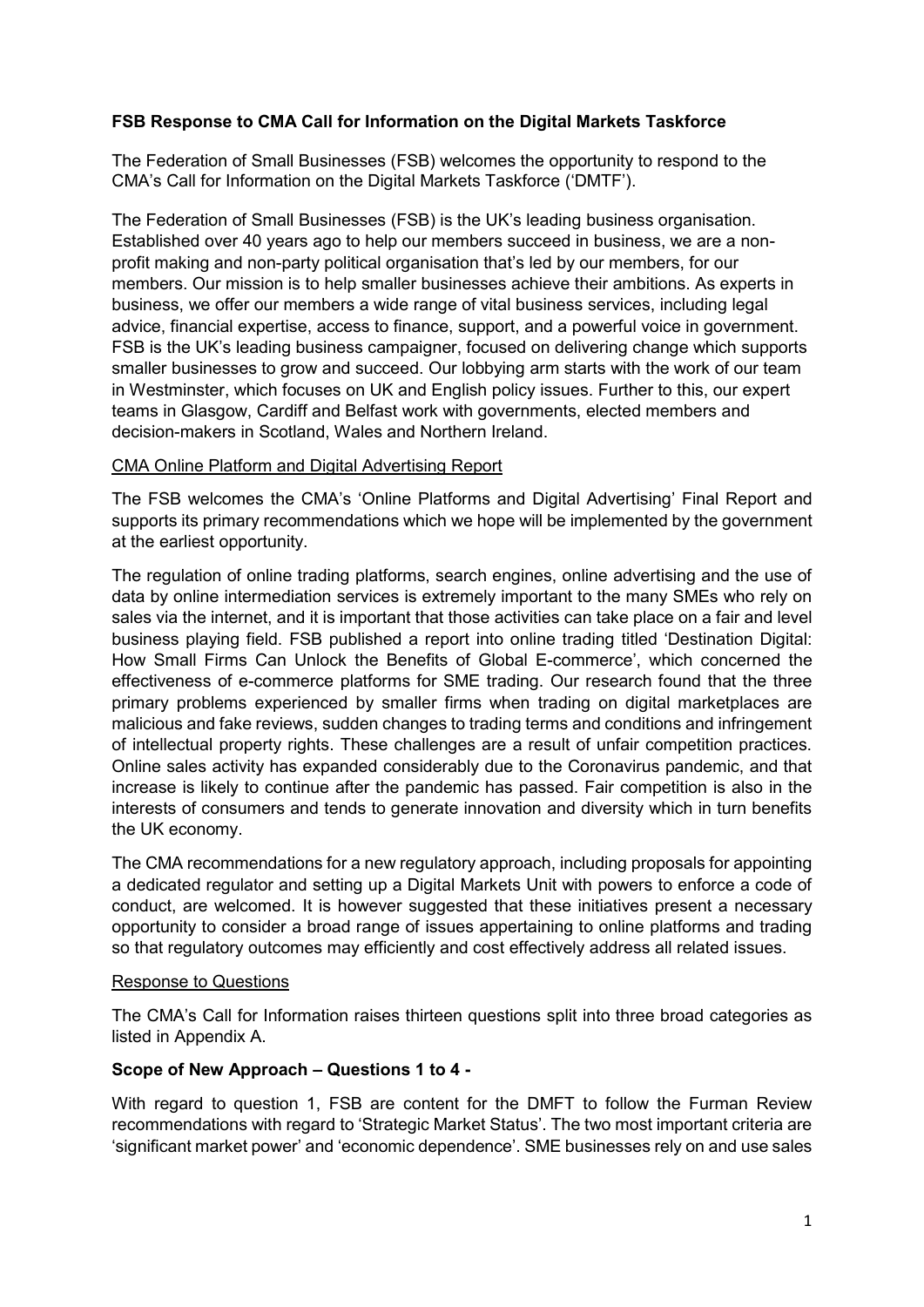# **FSB Response to CMA Call for Information on the Digital Markets Taskforce**

The Federation of Small Businesses (FSB) welcomes the opportunity to respond to the CMA's Call for Information on the Digital Markets Taskforce ('DMTF').

The Federation of Small Businesses (FSB) is the UK's leading business organisation. Established over 40 years ago to help our members succeed in business, we are a nonprofit making and non-party political organisation that's led by our members, for our members. Our mission is to help smaller businesses achieve their ambitions. As experts in business, we offer our members a wide range of vital business services, including legal advice, financial expertise, access to finance, support, and a powerful voice in government. FSB is the UK's leading business campaigner, focused on delivering change which supports smaller businesses to grow and succeed. Our lobbying arm starts with the work of our team in Westminster, which focuses on UK and English policy issues. Further to this, our expert teams in Glasgow, Cardiff and Belfast work with governments, elected members and decision-makers in Scotland, Wales and Northern Ireland.

## CMA Online Platform and Digital Advertising Report

The FSB welcomes the CMA's 'Online Platforms and Digital Advertising' Final Report and supports its primary recommendations which we hope will be implemented by the government at the earliest opportunity.

The regulation of online trading platforms, search engines, online advertising and the use of data by online intermediation services is extremely important to the many SMEs who rely on sales via the internet, and it is important that those activities can take place on a fair and level business playing field. FSB published a report into online trading titled 'Destination Digital: How Small Firms Can Unlock the Benefits of Global E-commerce', which concerned the effectiveness of e-commerce platforms for SME trading. Our research found that the three primary problems experienced by smaller firms when trading on digital marketplaces are malicious and fake reviews, sudden changes to trading terms and conditions and infringement of intellectual property rights. These challenges are a result of unfair competition practices. Online sales activity has expanded considerably due to the Coronavirus pandemic, and that increase is likely to continue after the pandemic has passed. Fair competition is also in the interests of consumers and tends to generate innovation and diversity which in turn benefits the UK economy.

The CMA recommendations for a new regulatory approach, including proposals for appointing a dedicated regulator and setting up a Digital Markets Unit with powers to enforce a code of conduct, are welcomed. It is however suggested that these initiatives present a necessary opportunity to consider a broad range of issues appertaining to online platforms and trading so that regulatory outcomes may efficiently and cost effectively address all related issues.

## Response to Questions

The CMA's Call for Information raises thirteen questions split into three broad categories as listed in Appendix A.

## **Scope of New Approach – Questions 1 to 4 -**

With regard to question 1, FSB are content for the DMFT to follow the Furman Review recommendations with regard to 'Strategic Market Status'. The two most important criteria are 'significant market power' and 'economic dependence'. SME businesses rely on and use sales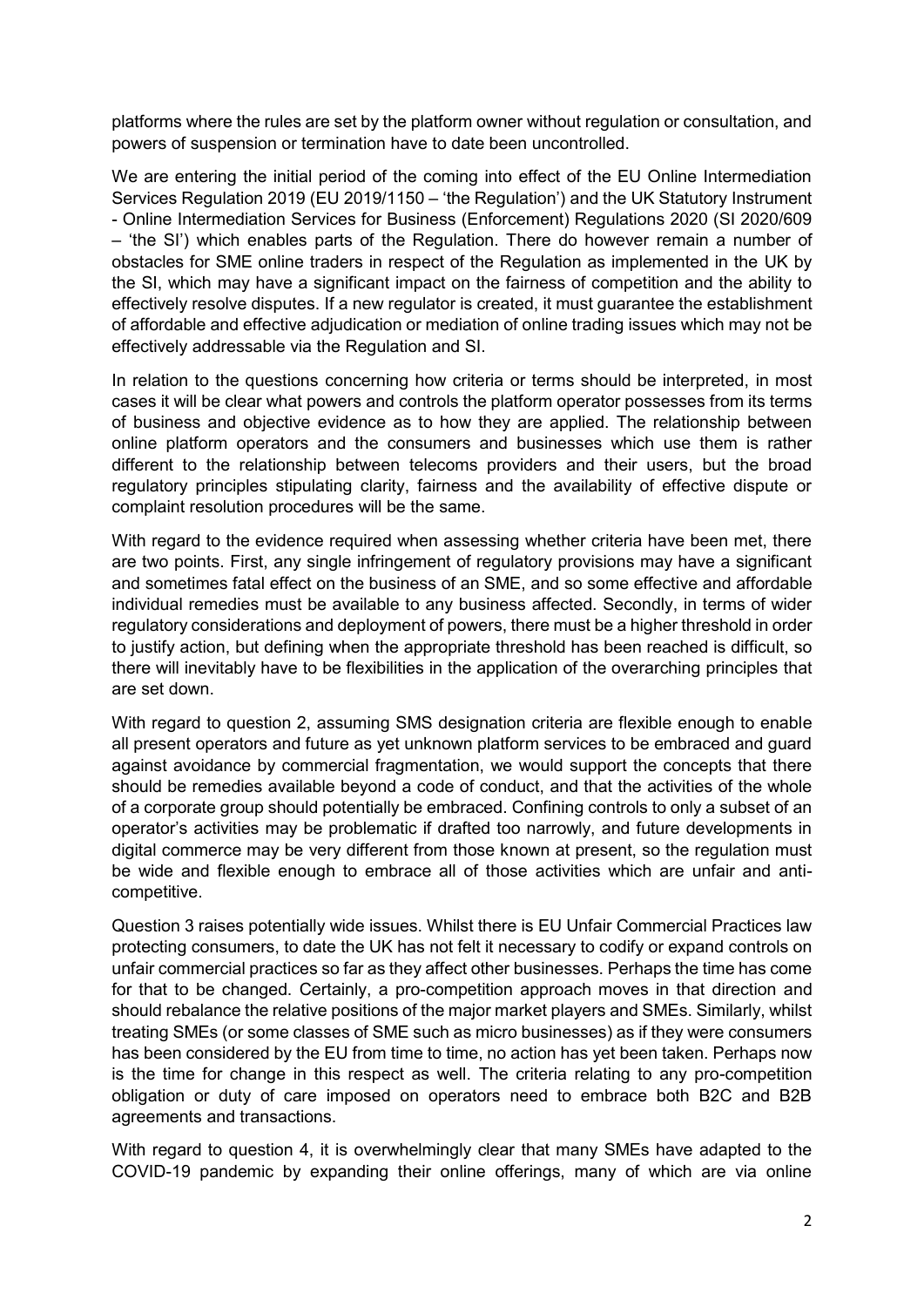platforms where the rules are set by the platform owner without regulation or consultation, and powers of suspension or termination have to date been uncontrolled.

We are entering the initial period of the coming into effect of the EU Online Intermediation Services Regulation 2019 (EU 2019/1150 – 'the Regulation') and the UK Statutory Instrument - Online Intermediation Services for Business (Enforcement) Regulations 2020 (SI 2020/609 – 'the SI') which enables parts of the Regulation. There do however remain a number of obstacles for SME online traders in respect of the Regulation as implemented in the UK by the SI, which may have a significant impact on the fairness of competition and the ability to effectively resolve disputes. If a new regulator is created, it must guarantee the establishment of affordable and effective adjudication or mediation of online trading issues which may not be effectively addressable via the Regulation and SI.

In relation to the questions concerning how criteria or terms should be interpreted, in most cases it will be clear what powers and controls the platform operator possesses from its terms of business and objective evidence as to how they are applied. The relationship between online platform operators and the consumers and businesses which use them is rather different to the relationship between telecoms providers and their users, but the broad regulatory principles stipulating clarity, fairness and the availability of effective dispute or complaint resolution procedures will be the same.

With regard to the evidence required when assessing whether criteria have been met, there are two points. First, any single infringement of regulatory provisions may have a significant and sometimes fatal effect on the business of an SME, and so some effective and affordable individual remedies must be available to any business affected. Secondly, in terms of wider regulatory considerations and deployment of powers, there must be a higher threshold in order to justify action, but defining when the appropriate threshold has been reached is difficult, so there will inevitably have to be flexibilities in the application of the overarching principles that are set down.

With regard to question 2, assuming SMS designation criteria are flexible enough to enable all present operators and future as yet unknown platform services to be embraced and guard against avoidance by commercial fragmentation, we would support the concepts that there should be remedies available beyond a code of conduct, and that the activities of the whole of a corporate group should potentially be embraced. Confining controls to only a subset of an operator's activities may be problematic if drafted too narrowly, and future developments in digital commerce may be very different from those known at present, so the regulation must be wide and flexible enough to embrace all of those activities which are unfair and anticompetitive.

Question 3 raises potentially wide issues. Whilst there is EU Unfair Commercial Practices law protecting consumers, to date the UK has not felt it necessary to codify or expand controls on unfair commercial practices so far as they affect other businesses. Perhaps the time has come for that to be changed. Certainly, a pro-competition approach moves in that direction and should rebalance the relative positions of the major market players and SMEs. Similarly, whilst treating SMEs (or some classes of SME such as micro businesses) as if they were consumers has been considered by the EU from time to time, no action has yet been taken. Perhaps now is the time for change in this respect as well. The criteria relating to any pro-competition obligation or duty of care imposed on operators need to embrace both B2C and B2B agreements and transactions.

With regard to question 4, it is overwhelmingly clear that many SMEs have adapted to the COVID-19 pandemic by expanding their online offerings, many of which are via online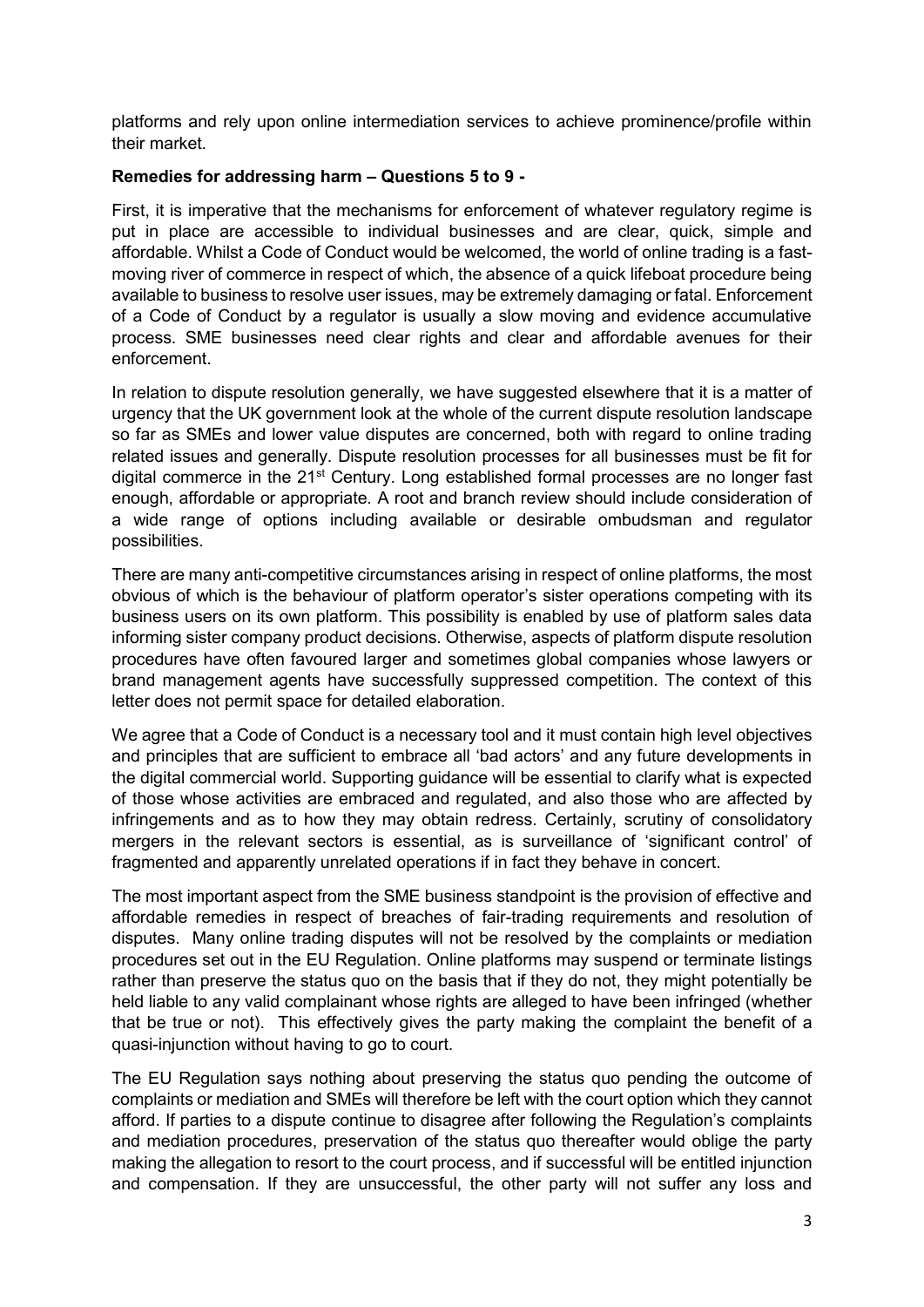platforms and rely upon online intermediation services to achieve prominence/profile within their market.

### **Remedies for addressing harm – Questions 5 to 9 -**

First, it is imperative that the mechanisms for enforcement of whatever regulatory regime is put in place are accessible to individual businesses and are clear, quick, simple and affordable. Whilst a Code of Conduct would be welcomed, the world of online trading is a fastmoving river of commerce in respect of which, the absence of a quick lifeboat procedure being available to business to resolve user issues, may be extremely damaging or fatal. Enforcement of a Code of Conduct by a regulator is usually a slow moving and evidence accumulative process. SME businesses need clear rights and clear and affordable avenues for their enforcement.

In relation to dispute resolution generally, we have suggested elsewhere that it is a matter of urgency that the UK government look at the whole of the current dispute resolution landscape so far as SMEs and lower value disputes are concerned, both with regard to online trading related issues and generally. Dispute resolution processes for all businesses must be fit for digital commerce in the 21<sup>st</sup> Century. Long established formal processes are no longer fast enough, affordable or appropriate. A root and branch review should include consideration of a wide range of options including available or desirable ombudsman and regulator possibilities.

There are many anti-competitive circumstances arising in respect of online platforms, the most obvious of which is the behaviour of platform operator's sister operations competing with its business users on its own platform. This possibility is enabled by use of platform sales data informing sister company product decisions. Otherwise, aspects of platform dispute resolution procedures have often favoured larger and sometimes global companies whose lawyers or brand management agents have successfully suppressed competition. The context of this letter does not permit space for detailed elaboration.

We agree that a Code of Conduct is a necessary tool and it must contain high level objectives and principles that are sufficient to embrace all 'bad actors' and any future developments in the digital commercial world. Supporting guidance will be essential to clarify what is expected of those whose activities are embraced and regulated, and also those who are affected by infringements and as to how they may obtain redress. Certainly, scrutiny of consolidatory mergers in the relevant sectors is essential, as is surveillance of 'significant control' of fragmented and apparently unrelated operations if in fact they behave in concert.

The most important aspect from the SME business standpoint is the provision of effective and affordable remedies in respect of breaches of fair-trading requirements and resolution of disputes. Many online trading disputes will not be resolved by the complaints or mediation procedures set out in the EU Regulation. Online platforms may suspend or terminate listings rather than preserve the status quo on the basis that if they do not, they might potentially be held liable to any valid complainant whose rights are alleged to have been infringed (whether that be true or not). This effectively gives the party making the complaint the benefit of a quasi-injunction without having to go to court.

The EU Regulation says nothing about preserving the status quo pending the outcome of complaints or mediation and SMEs will therefore be left with the court option which they cannot afford. If parties to a dispute continue to disagree after following the Regulation's complaints and mediation procedures, preservation of the status quo thereafter would oblige the party making the allegation to resort to the court process, and if successful will be entitled injunction and compensation. If they are unsuccessful, the other party will not suffer any loss and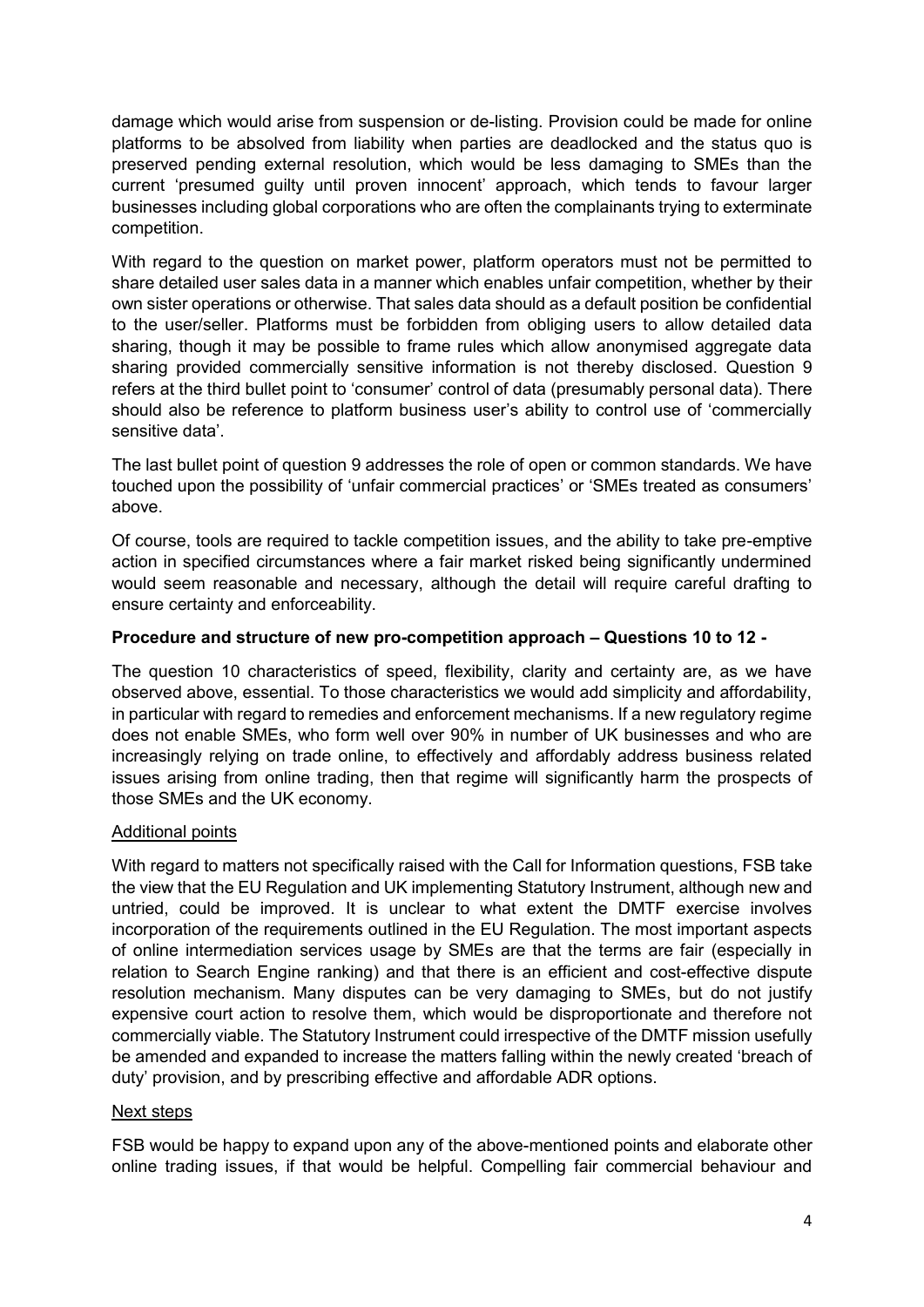damage which would arise from suspension or de-listing. Provision could be made for online platforms to be absolved from liability when parties are deadlocked and the status quo is preserved pending external resolution, which would be less damaging to SMEs than the current 'presumed guilty until proven innocent' approach, which tends to favour larger businesses including global corporations who are often the complainants trying to exterminate competition.

With regard to the question on market power, platform operators must not be permitted to share detailed user sales data in a manner which enables unfair competition, whether by their own sister operations or otherwise. That sales data should as a default position be confidential to the user/seller. Platforms must be forbidden from obliging users to allow detailed data sharing, though it may be possible to frame rules which allow anonymised aggregate data sharing provided commercially sensitive information is not thereby disclosed. Question 9 refers at the third bullet point to 'consumer' control of data (presumably personal data). There should also be reference to platform business user's ability to control use of 'commercially sensitive data'.

The last bullet point of question 9 addresses the role of open or common standards. We have touched upon the possibility of 'unfair commercial practices' or 'SMEs treated as consumers' above.

Of course, tools are required to tackle competition issues, and the ability to take pre-emptive action in specified circumstances where a fair market risked being significantly undermined would seem reasonable and necessary, although the detail will require careful drafting to ensure certainty and enforceability.

# **Procedure and structure of new pro-competition approach – Questions 10 to 12 -**

The question 10 characteristics of speed, flexibility, clarity and certainty are, as we have observed above, essential. To those characteristics we would add simplicity and affordability, in particular with regard to remedies and enforcement mechanisms. If a new regulatory regime does not enable SMEs, who form well over 90% in number of UK businesses and who are increasingly relying on trade online, to effectively and affordably address business related issues arising from online trading, then that regime will significantly harm the prospects of those SMEs and the UK economy.

## Additional points

With regard to matters not specifically raised with the Call for Information questions, FSB take the view that the EU Regulation and UK implementing Statutory Instrument, although new and untried, could be improved. It is unclear to what extent the DMTF exercise involves incorporation of the requirements outlined in the EU Regulation. The most important aspects of online intermediation services usage by SMEs are that the terms are fair (especially in relation to Search Engine ranking) and that there is an efficient and cost-effective dispute resolution mechanism. Many disputes can be very damaging to SMEs, but do not justify expensive court action to resolve them, which would be disproportionate and therefore not commercially viable. The Statutory Instrument could irrespective of the DMTF mission usefully be amended and expanded to increase the matters falling within the newly created 'breach of duty' provision, and by prescribing effective and affordable ADR options.

## Next steps

FSB would be happy to expand upon any of the above-mentioned points and elaborate other online trading issues, if that would be helpful. Compelling fair commercial behaviour and